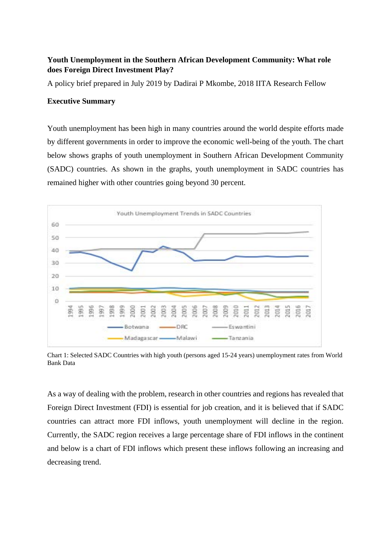## **Youth Unemployment in the Southern African Development Community: What role does Foreign Direct Investment Play?**

A policy brief prepared in July 2019 by Dadirai P Mkombe, 2018 IITA Research Fellow

## **Executive Summary**

Youth unemployment has been high in many countries around the world despite efforts made by different governments in order to improve the economic well-being of the youth. The chart below shows graphs of youth unemployment in Southern African Development Community (SADC) countries. As shown in the graphs, youth unemployment in SADC countries has remained higher with other countries going beyond 30 percent.



Chart 1: Selected SADC Countries with high youth (persons aged 15-24 years) unemployment rates from World Bank Data

As a way of dealing with the problem, research in other countries and regions has revealed that Foreign Direct Investment (FDI) is essential for job creation, and it is believed that if SADC countries can attract more FDI inflows, youth unemployment will decline in the region. Currently, the SADC region receives a large percentage share of FDI inflows in the continent and below is a chart of FDI inflows which present these inflows following an increasing and decreasing trend.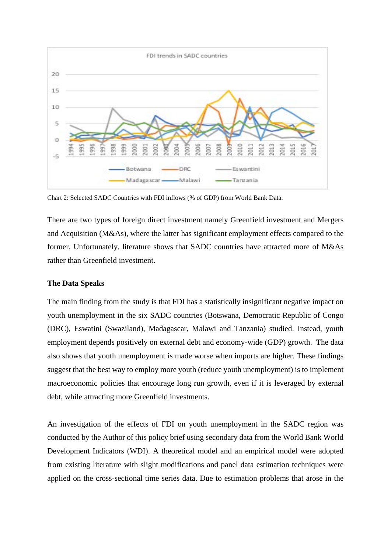

Chart 2: Selected SADC Countries with FDI inflows (% of GDP) from World Bank Data.

There are two types of foreign direct investment namely Greenfield investment and Mergers and Acquisition (M&As), where the latter has significant employment effects compared to the former. Unfortunately, literature shows that SADC countries have attracted more of M&As rather than Greenfield investment.

## **The Data Speaks**

The main finding from the study is that FDI has a statistically insignificant negative impact on youth unemployment in the six SADC countries (Botswana, Democratic Republic of Congo (DRC), Eswatini (Swaziland), Madagascar, Malawi and Tanzania) studied. Instead, youth employment depends positively on external debt and economy-wide (GDP) growth. The data also shows that youth unemployment is made worse when imports are higher. These findings suggest that the best way to employ more youth (reduce youth unemployment) is to implement macroeconomic policies that encourage long run growth, even if it is leveraged by external debt, while attracting more Greenfield investments.

An investigation of the effects of FDI on youth unemployment in the SADC region was conducted by the Author of this policy brief using secondary data from the World Bank World Development Indicators (WDI). A theoretical model and an empirical model were adopted from existing literature with slight modifications and panel data estimation techniques were applied on the cross-sectional time series data. Due to estimation problems that arose in the